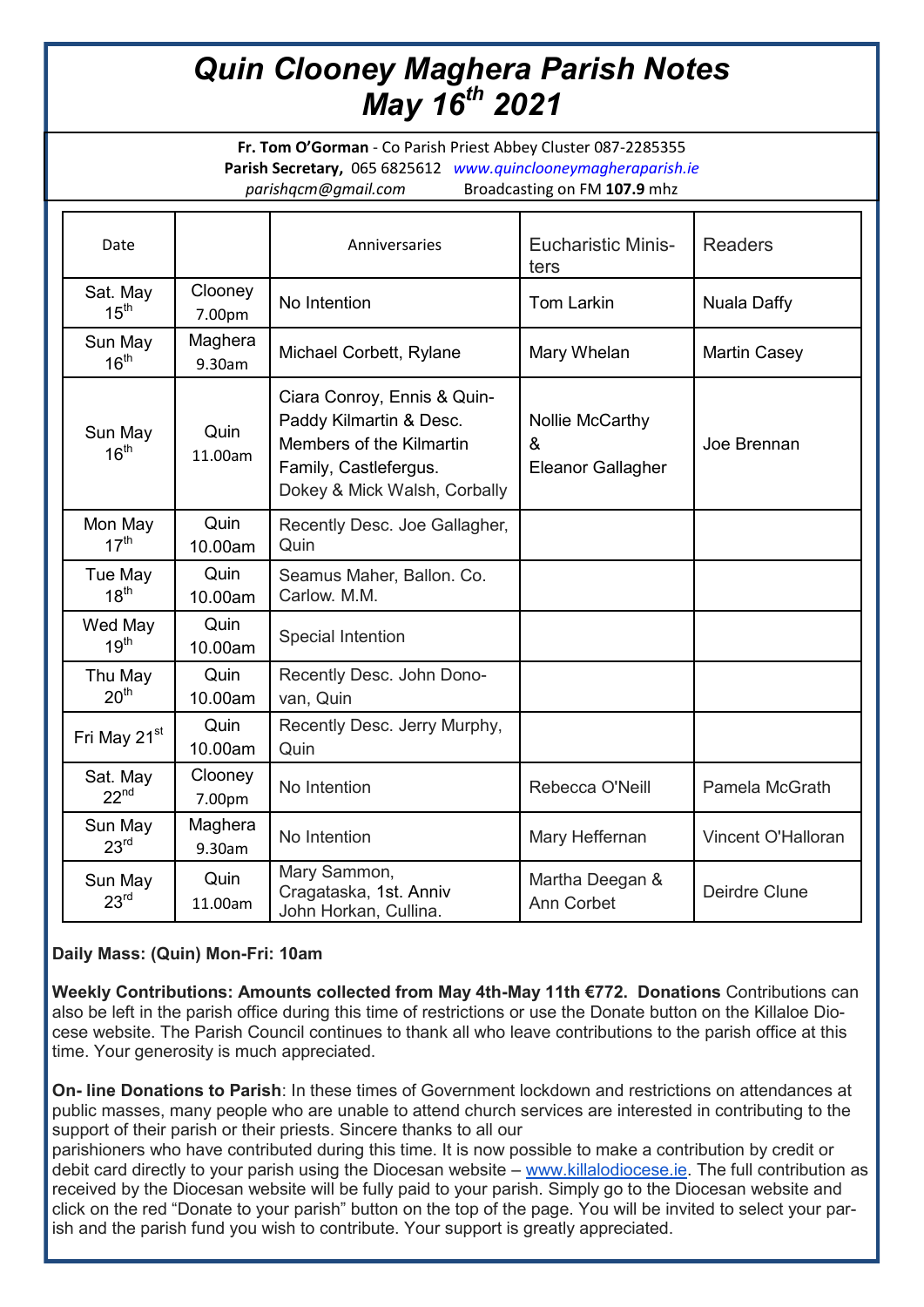# *Quin Clooney Maghera Parish Notes May 16th 2021*

**Fr. Tom O'Gorman** - Co Parish Priest Abbey Cluster 087-2285355 **Parish Secretary,** 065 6825612 *www.quinclooneymagheraparish.ie parishqcm@gmail.com* Broadcasting on FM **107.9** mhz

| Date                         |                   | Anniversaries                                                                                                                               | <b>Eucharistic Minis-</b><br>ters         | <b>Readers</b>      |
|------------------------------|-------------------|---------------------------------------------------------------------------------------------------------------------------------------------|-------------------------------------------|---------------------|
| Sat. May<br>15 <sup>th</sup> | Clooney<br>7.00pm | No Intention                                                                                                                                | <b>Tom Larkin</b>                         | Nuala Daffy         |
| Sun May<br>16 <sup>th</sup>  | Maghera<br>9.30am | Michael Corbett, Rylane                                                                                                                     | Mary Whelan                               | <b>Martin Casey</b> |
| Sun May<br>16 <sup>th</sup>  | Quin<br>11.00am   | Ciara Conroy, Ennis & Quin-<br>Paddy Kilmartin & Desc.<br>Members of the Kilmartin<br>Family, Castlefergus.<br>Dokey & Mick Walsh, Corbally | Nollie McCarthy<br>&<br>Eleanor Gallagher | Joe Brennan         |
| Mon May<br>17 <sup>th</sup>  | Quin<br>10.00am   | Recently Desc. Joe Gallagher,<br>Quin                                                                                                       |                                           |                     |
| Tue May<br>18 <sup>th</sup>  | Quin<br>10.00am   | Seamus Maher, Ballon. Co.<br>Carlow. M.M.                                                                                                   |                                           |                     |
| Wed May<br>19 <sup>th</sup>  | Quin<br>10.00am   | Special Intention                                                                                                                           |                                           |                     |
| Thu May<br>20 <sup>th</sup>  | Quin<br>10.00am   | Recently Desc. John Dono-<br>van, Quin                                                                                                      |                                           |                     |
| Fri May 21 <sup>st</sup>     | Quin<br>10.00am   | Recently Desc. Jerry Murphy,<br>Quin                                                                                                        |                                           |                     |
| Sat. May<br>22 <sup>nd</sup> | Clooney<br>7.00pm | No Intention                                                                                                                                | Rebecca O'Neill                           | Pamela McGrath      |
| Sun May<br>23 <sup>rd</sup>  | Maghera<br>9.30am | No Intention                                                                                                                                | Mary Heffernan                            | Vincent O'Halloran  |
| Sun May<br>23 <sup>rd</sup>  | Quin<br>11.00am   | Mary Sammon,<br>Cragataska, 1st. Anniv<br>John Horkan, Cullina.                                                                             | Martha Deegan &<br>Ann Corbet             | Deirdre Clune       |

## **Daily Mass: (Quin) Mon-Fri: 10am**

**Weekly Contributions: Amounts collected from May 4th-May 11th €772. Donations** Contributions can also be left in the parish office during this time of restrictions or use the Donate button on the Killaloe Diocese website. The Parish Council continues to thank all who leave contributions to the parish office at this time. Your generosity is much appreciated.

**On- line Donations to Parish**: In these times of Government lockdown and restrictions on attendances at public masses, many people who are unable to attend church services are interested in contributing to the support of their parish or their priests. Sincere thanks to all our

parishioners who have contributed during this time. It is now possible to make a contribution by credit or debit card directly to your parish using the Diocesan website – [www.killalodiocese.ie.](http://www.killalodiocese.ie/) The full contribution as received by the Diocesan website will be fully paid to your parish. Simply go to the Diocesan website and click on the red "Donate to your parish" button on the top of the page. You will be invited to select your parish and the parish fund you wish to contribute. Your support is greatly appreciated.